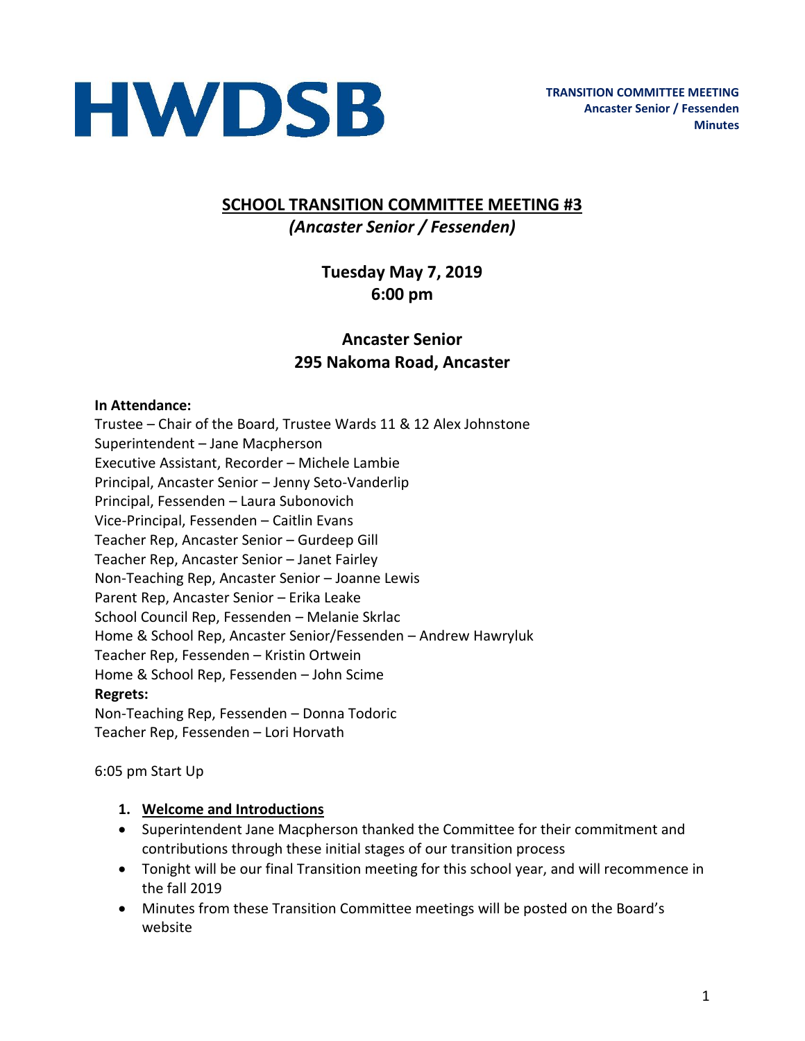

### **SCHOOL TRANSITION COMMITTEE MEETING #3** *(Ancaster Senior / Fessenden)*

## **Tuesday May 7, 2019 6:00 pm**

### **Ancaster Senior 295 Nakoma Road, Ancaster**

#### **In Attendance:**

Trustee – Chair of the Board, Trustee Wards 11 & 12 Alex Johnstone Superintendent – Jane Macpherson Executive Assistant, Recorder – Michele Lambie Principal, Ancaster Senior – Jenny Seto-Vanderlip Principal, Fessenden – Laura Subonovich Vice-Principal, Fessenden – Caitlin Evans Teacher Rep, Ancaster Senior – Gurdeep Gill Teacher Rep, Ancaster Senior – Janet Fairley Non-Teaching Rep, Ancaster Senior – Joanne Lewis Parent Rep, Ancaster Senior – Erika Leake School Council Rep, Fessenden – Melanie Skrlac Home & School Rep, Ancaster Senior/Fessenden – Andrew Hawryluk Teacher Rep, Fessenden – Kristin Ortwein Home & School Rep, Fessenden – John Scime **Regrets:**  Non-Teaching Rep, Fessenden – Donna Todoric Teacher Rep, Fessenden – Lori Horvath

6:05 pm Start Up

#### **1. Welcome and Introductions**

- Superintendent Jane Macpherson thanked the Committee for their commitment and contributions through these initial stages of our transition process
- Tonight will be our final Transition meeting for this school year, and will recommence in the fall 2019
- Minutes from these Transition Committee meetings will be posted on the Board's website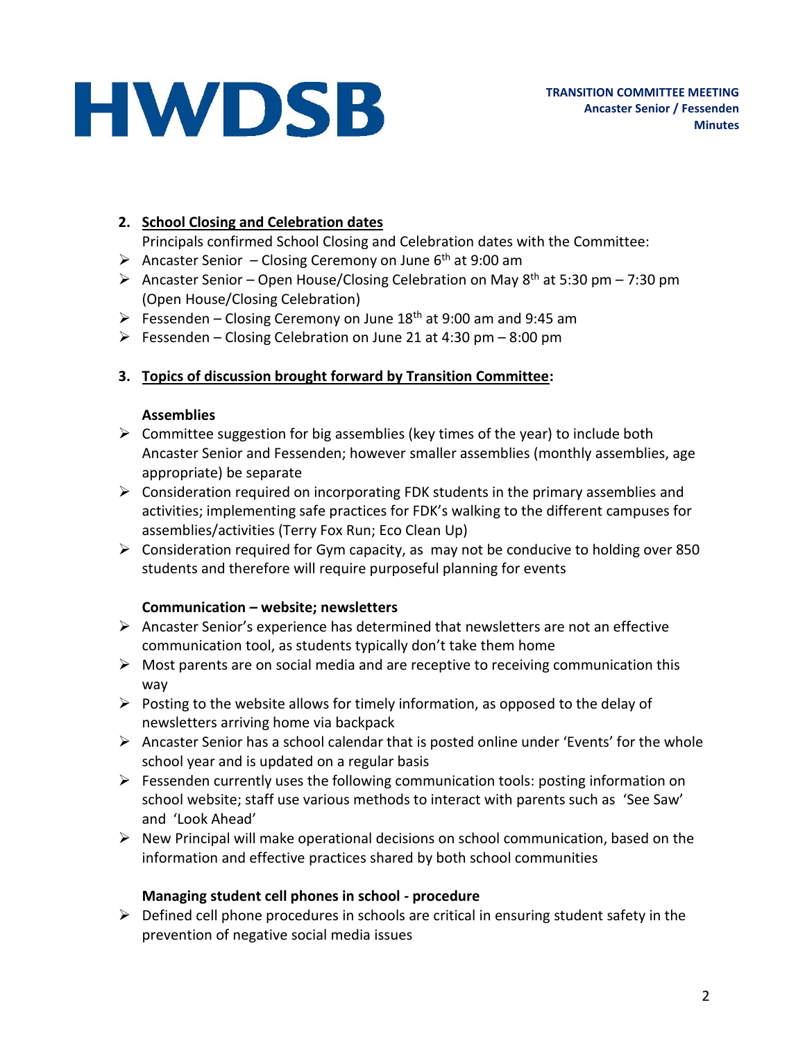## **HWDSB**

#### **2. School Closing and Celebration dates**

Principals confirmed School Closing and Celebration dates with the Committee:

- Ancaster Senior Closing Ceremony on June  $6<sup>th</sup>$  at 9:00 am
- Ancaster Senior Open House/Closing Celebration on May  $8^{th}$  at 5:30 pm 7:30 pm (Open House/Closing Celebration)
- Fessenden Closing Ceremony on June  $18<sup>th</sup>$  at 9:00 am and 9:45 am
- $\triangleright$  Fessenden Closing Celebration on June 21 at 4:30 pm 8:00 pm

#### **3. Topics of discussion brought forward by Transition Committee:**

#### **Assemblies**

- $\triangleright$  Committee suggestion for big assemblies (key times of the year) to include both Ancaster Senior and Fessenden; however smaller assemblies (monthly assemblies, age appropriate) be separate
- $\triangleright$  Consideration required on incorporating FDK students in the primary assemblies and activities; implementing safe practices for FDK's walking to the different campuses for assemblies/activities (Terry Fox Run; Eco Clean Up)
- $\triangleright$  Consideration required for Gym capacity, as may not be conducive to holding over 850 students and therefore will require purposeful planning for events

#### **Communication – website; newsletters**

- Ancaster Senior's experience has determined that newsletters are not an effective communication tool, as students typically don't take them home
- $\triangleright$  Most parents are on social media and are receptive to receiving communication this way
- $\triangleright$  Posting to the website allows for timely information, as opposed to the delay of newsletters arriving home via backpack
- $\triangleright$  Ancaster Senior has a school calendar that is posted online under 'Events' for the whole school year and is updated on a regular basis
- $\triangleright$  Fessenden currently uses the following communication tools: posting information on school website; staff use various methods to interact with parents such as 'See Saw' and 'Look Ahead'
- $\triangleright$  New Principal will make operational decisions on school communication, based on the information and effective practices shared by both school communities

#### **Managing student cell phones in school - procedure**

 $\triangleright$  Defined cell phone procedures in schools are critical in ensuring student safety in the prevention of negative social media issues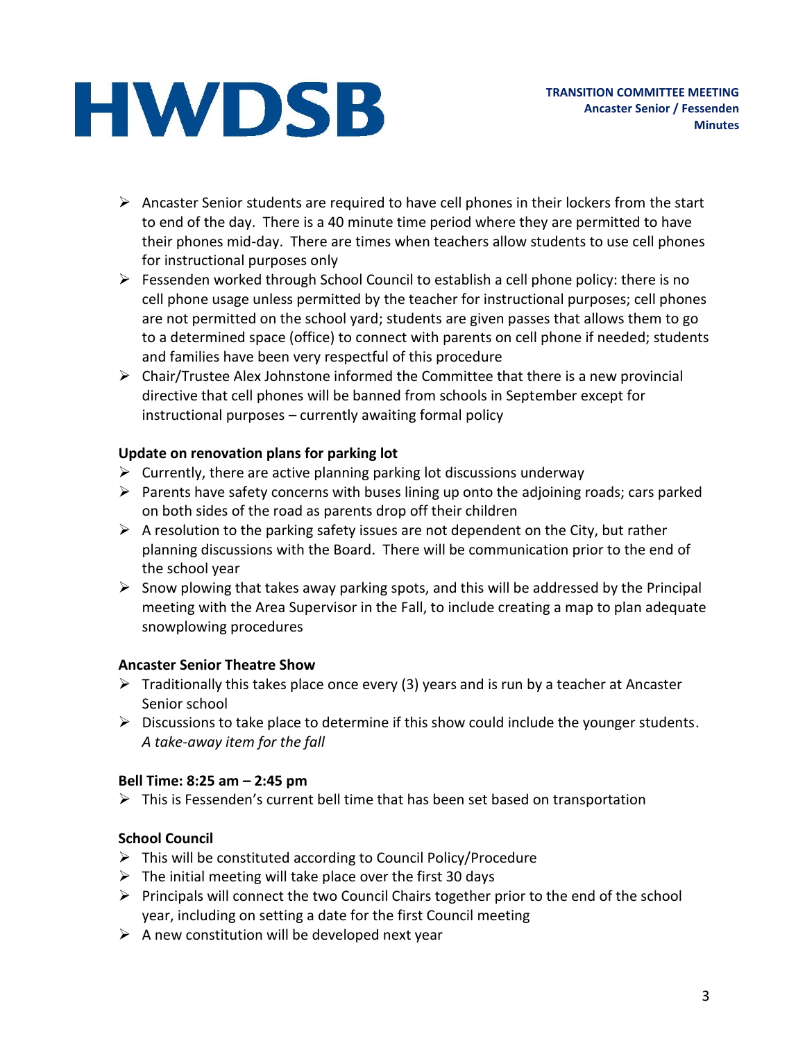# **HWDSB**

- $\triangleright$  Ancaster Senior students are required to have cell phones in their lockers from the start to end of the day. There is a 40 minute time period where they are permitted to have their phones mid-day. There are times when teachers allow students to use cell phones for instructional purposes only
- $\triangleright$  Fessenden worked through School Council to establish a cell phone policy: there is no cell phone usage unless permitted by the teacher for instructional purposes; cell phones are not permitted on the school yard; students are given passes that allows them to go to a determined space (office) to connect with parents on cell phone if needed; students and families have been very respectful of this procedure
- $\triangleright$  Chair/Trustee Alex Johnstone informed the Committee that there is a new provincial directive that cell phones will be banned from schools in September except for instructional purposes – currently awaiting formal policy

#### **Update on renovation plans for parking lot**

- $\triangleright$  Currently, there are active planning parking lot discussions underway
- $\triangleright$  Parents have safety concerns with buses lining up onto the adjoining roads; cars parked on both sides of the road as parents drop off their children
- $\triangleright$  A resolution to the parking safety issues are not dependent on the City, but rather planning discussions with the Board. There will be communication prior to the end of the school year
- $\triangleright$  Snow plowing that takes away parking spots, and this will be addressed by the Principal meeting with the Area Supervisor in the Fall, to include creating a map to plan adequate snowplowing procedures

#### **Ancaster Senior Theatre Show**

- $\triangleright$  Traditionally this takes place once every (3) years and is run by a teacher at Ancaster Senior school
- $\triangleright$  Discussions to take place to determine if this show could include the younger students. *A take-away item for the fall*

#### **Bell Time: 8:25 am – 2:45 pm**

 $\triangleright$  This is Fessenden's current bell time that has been set based on transportation

#### **School Council**

- This will be constituted according to Council Policy/Procedure
- $\triangleright$  The initial meeting will take place over the first 30 days
- $\triangleright$  Principals will connect the two Council Chairs together prior to the end of the school year, including on setting a date for the first Council meeting
- $\triangleright$  A new constitution will be developed next year